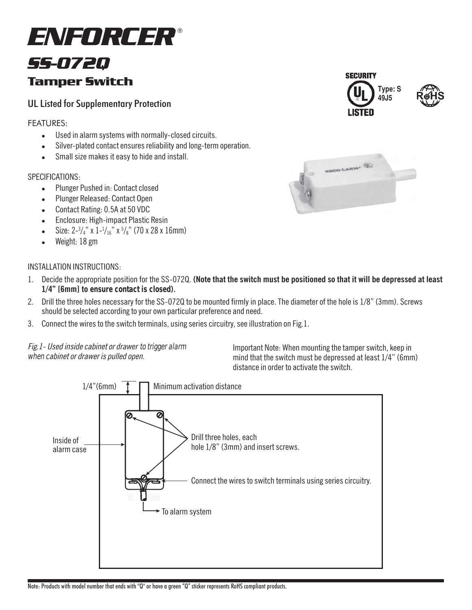# *SS-072Q* Tamper Switch *ENFORCER* <sup>Æ</sup>

# UL Listed for Supplementary Protection

## FEATURES:

- . Used in alarm systems with normally-closed circuits.
- Silver-plated contact ensures reliability and long-term operation.
- Small size makes it easy to hide and install.

### SPECIFICATIONS:

- Plunger Pushed in: Contact closed
- ! Plunger Released: Contact Open
- ! Contact Rating: 0.5A at 50 VDC
- Enclosure: High-impact Plastic Resin
- Size:  $2^{-3}/4$ " x  $1^{-1}/16$ " x  $5/8$ " (70 x 28 x 16mm)
- Weight: 18 gm

### INSTALLATION INSTRUCTIONS:

- 1. Decide the appropriate position for the SS-072Q. **(Note that the switch must be positioned so that it will be depressed at least 1/4î [6mm] to ensure contact is closed).**
- 2. Drill the three holes necessary for the SS-072Q to be mounted firmly in place. The diameter of the hole is 1/8" (3mm). Screws should be selected according to your own particular preference and need.
- 3. Connect the wires to the switch terminals, using series circuitry, see illustration on Fig.1.

Fig.1- Used inside cabinet or drawer to trigger alarm when cabinet or drawer is pulled open.

Important Note: When mounting the tamper switch, keep in mind that the switch must be depressed at least  $1/4$ " (6mm) distance in order to activate the switch.